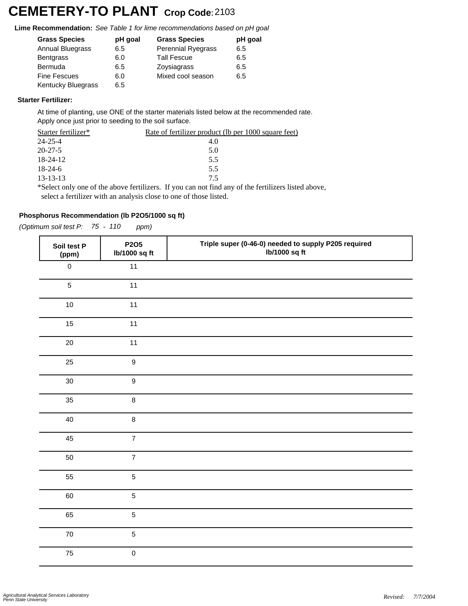# **CEMETERY-TO PLANT Crop Code:**<sup>2103</sup>

**Lime Recommendation:** *See Table 1 for lime recommendations based on pH goal*

| <b>Grass Species</b>      | pH goal | <b>Grass Species</b> | pH goal |
|---------------------------|---------|----------------------|---------|
| Annual Bluegrass          | 6.5     | Perennial Ryegrass   | 6.5     |
| <b>Bentgrass</b>          | 6.0     | <b>Tall Fescue</b>   | 6.5     |
| <b>Bermuda</b>            | 6.5     | Zoysiagrass          | 6.5     |
| <b>Fine Fescues</b>       | 6.0     | Mixed cool season    | 6.5     |
| <b>Kentucky Bluegrass</b> | 6.5     |                      |         |
|                           |         |                      |         |

#### **Starter Fertilizer:**

At time of planting, use ONE of the starter materials listed below at the recommended rate. Apply once just prior to seeding to the soil surface.

| Starter fertilizer* | Rate of fertilizer product (lb per 1000 square feet)                                            |
|---------------------|-------------------------------------------------------------------------------------------------|
| 24-25-4             | 4.0                                                                                             |
| $20 - 27 - 5$       | 5.0                                                                                             |
| 18-24-12            | 5.5                                                                                             |
| $18-24-6$           | 5.5                                                                                             |
| 13-13-13            | 75                                                                                              |
|                     | Select only one of the above fertilizers. If you can not find any of the fertilizers listed abo |

\*Select only one of the above fertilizers. If you can not find any of the fertilizers listed above, select a fertilizer with an analysis close to one of those listed.

## **Phosphorus Recommendation (lb P2O5/1000 sq ft)**

*(Optimum soil test P: 75 - 110 ppm)*

| Soil test P<br>(ppm) | P2O5<br>lb/1000 sq ft | Triple super (0-46-0) needed to supply P205 required<br>lb/1000 sq ft |
|----------------------|-----------------------|-----------------------------------------------------------------------|
| $\mathsf{O}\xspace$  | 11                    |                                                                       |
| $\overline{5}$       | 11                    |                                                                       |
| $10$                 | 11                    |                                                                       |
| 15                   | 11                    |                                                                       |
| 20                   | 11                    |                                                                       |
| 25                   | $\boldsymbol{9}$      |                                                                       |
| 30                   | $\boldsymbol{9}$      |                                                                       |
| 35                   | 8                     |                                                                       |
| 40                   | 8                     |                                                                       |
| 45                   | $\overline{7}$        |                                                                       |
| 50                   | $\overline{7}$        |                                                                       |
| 55                   | 5                     |                                                                       |
| 60                   | $\overline{5}$        |                                                                       |
| 65                   | 5                     |                                                                       |
| ${\bf 70}$           | $\overline{5}$        |                                                                       |
| 75                   | $\mathsf 0$           |                                                                       |